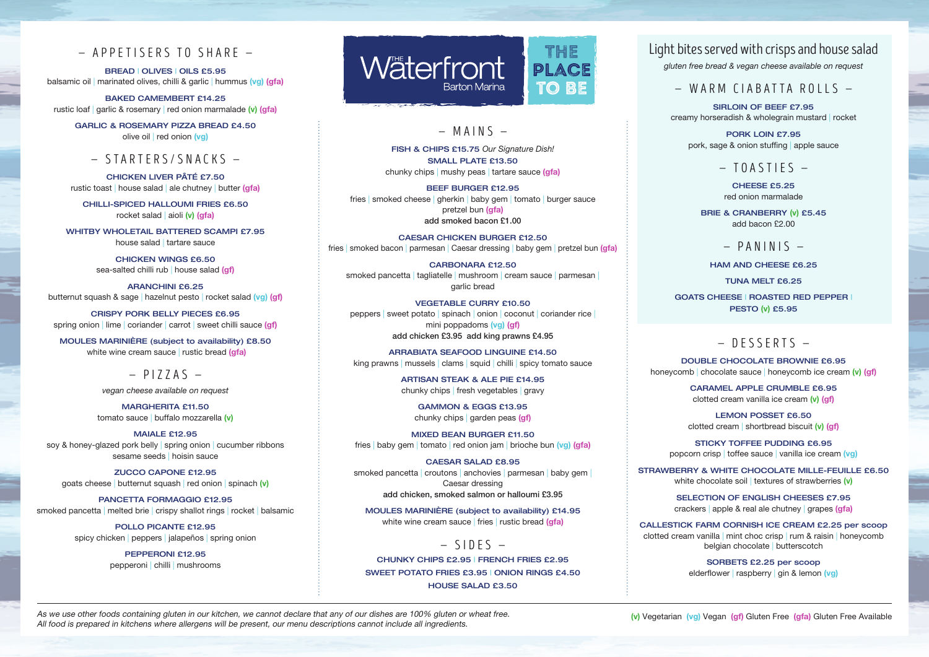#### — APPETISERS TO SHARE —

BREAD | OLIVES | OILS £5.95 balsamic oil | marinated olives, chilli & garlic | hummus (vg) (gfa)

BAKED CAMEMBERT £14.25 rustic loaf | garlic & rosemary | red onion marmalade (v) (gfa)

GARLIC & ROSEMARY PIZZA BREAD £4.50 olive oil | red onion (vg)

### — STARTERS/SNACKS —

CHICKEN LIVER PÂTÉ £7.50 rustic toast | house salad | ale chutney | butter (gfa)

CHILLI-SPICED HALLOUMI FRIES £6.50 rocket salad | aioli (v) (gfa)

WHITBY WHOLETAIL BATTERED SCAMPI £7.95 house salad | tartare sauce

> CHICKEN WINGS £6.50 sea-salted chilli rub | house salad (gf)

ARANCHINI £6.25 butternut squash & sage | hazelnut pesto | rocket salad (vg) (gf)

CRISPY PORK BELLY PIECES £6.95 spring onion | lime | coriander | carrot | sweet chilli sauce (gf)

MOULES MARINIÈRE (subject to availability) £8.50 white wine cream sauce | rustic bread (gfa)

 $-$  PIZZAS  $-$ 

*vegan cheese available on request*

MARGHERITA £11.50 tomato sauce | buffalo mozzarella (v)

MAIALE £12.95 soy & honey-glazed pork belly | spring onion | cucumber ribbons sesame seeds | hoisin sauce

ZUCCO CAPONE £12.95 goats cheese | butternut squash | red onion | spinach (v)

PANCETTA FORMAGGIO £12.95 smoked pancetta | melted brie | crispy shallot rings | rocket | balsamic

> POLLO PICANTE £12.95 spicy chicken | peppers | jalapeños | spring onion

> > PEPPERONI £12.95 pepperoni | chilli | mushrooms



### $-$  MAINS  $-$

FISH & CHIPS £15.75 *Our Signature Dish!* SMALL PLATE £13.50 chunky chips | mushy peas | tartare sauce (gfa)

BEEF BURGER £12.95 fries | smoked cheese | gherkin | baby gem | tomato | burger sauce pretzel bun (gfa) add smoked bacon £1.00

CAESAR CHICKEN BURGER £12.50 fries | smoked bacon | parmesan | Caesar dressing | baby gem | pretzel bun (gfa)

CARBONARA £12.50 smoked pancetta | tagliatelle | mushroom | cream sauce | parmesan | garlic bread

VEGETABLE CURRY £10.50 peppers | sweet potato | spinach | onion | coconut | coriander rice | mini poppadoms (vg) (gf) add chicken £3.95 add king prawns £4.95

ARRABIATA SEAFOOD LINGUINE £14.50 king prawns | mussels | clams | squid | chilli | spicy tomato sauce

> ARTISAN STEAK & ALE PIE £14.95 chunky chips | fresh vegetables | gravy

> > GAMMON & EGGS £13.95 chunky chips | garden peas (gf)

MIXED BEAN BURGER £11.50 fries | baby gem | tomato | red onion jam | brioche bun (vg) (gfa)

CAESAR SALAD £8.95 smoked pancetta | croutons | anchovies | parmesan | baby gem | Caesar dressing add chicken, smoked salmon or halloumi £3.95

MOULES MARINIÈRE (subject to availability) £14.95 white wine cream sauce | fries | rustic bread (gfa)

 $-$  SIDES  $-$ CHUNKY CHIPS £2.95 | FRENCH FRIES £2.95 SWEET POTATO FRIES £3.95 | ONION RINGS £4.50 HOUSE SALAD £3.50

# Light bites served with crisps and house salad

*gluten free bread & vegan cheese available on request*

 $-$  WARM CIABATTA ROLLS  $-$ 

SIRLOIN OF BEEF £7.95 creamy horseradish & wholegrain mustard | rocket

> PORK LOIN £7.95 pork, sage & onion stuffing | apple sauce

> > $-$  TOASTIFS  $-$

CHEESE £5.25 red onion marmalade

BRIE & CRANBERRY (v) £5.45 add bacon £2.00

 $-$  PANINIS  $-$ 

HAM AND CHEESE £6.25

TUNA MELT £6.25

GOATS CHEESE | ROASTED RED PEPPER | PESTO (v) £5.95

## $-$  DESSERTS  $-$

DOUBLE CHOCOLATE BROWNIE £6.95 honeycomb | chocolate sauce | honeycomb ice cream (v) (gf)

> CARAMEL APPLE CRUMBLE £6.95 clotted cream vanilla ice cream (v) (gf)

LEMON POSSET £6.50 clotted cream | shortbread biscuit (v) (gf)

STICKY TOFFEE PUDDING £6.95 popcorn crisp | toffee sauce | vanilla ice cream (vg)

STRAWBERRY & WHITE CHOCOLATE MILLE-FEUILLE £6.50 white chocolate soil | textures of strawberries (v)

> SELECTION OF ENGLISH CHEESES £7.95 crackers apple & real ale chutney | grapes (gfa)

CALLESTICK FARM CORNISH ICE CREAM £2.25 per scoop clotted cream vanilla | mint choc crisp | rum & raisin | honeycomb belgian chocolate | butterscotch

> SORBETS £2.25 per scoop elderflower | raspberry | gin & lemon (vg)

As we use other foods containing gluten in our kitchen, we cannot declare that any of our dishes are 100% gluten or wheat free.<br>(v) Vegetarian (vg) Vegan (gr) Gluten Free (gra) Gluten Free Available All food is prepared in kitchens where allergens will be present, our menu descriptions cannot include all ingredients.